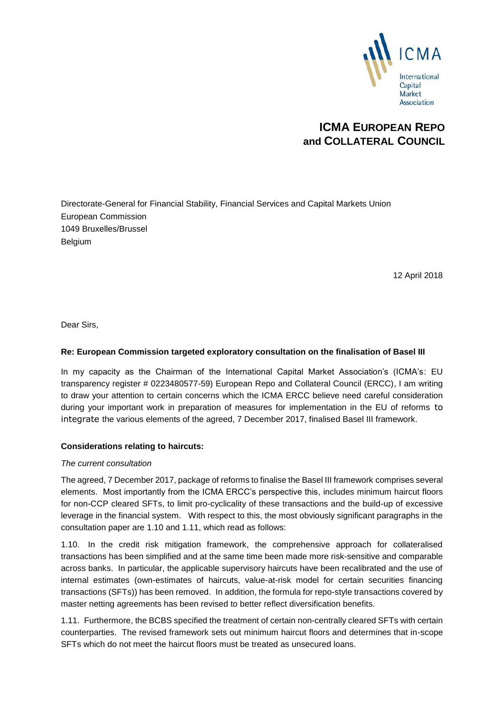

# **ICMA EUROPEAN REPO and COLLATERAL COUNCIL**

Directorate-General for Financial Stability, Financial Services and Capital Markets Union European Commission 1049 Bruxelles/Brussel Belgium

12 April 2018

Dear Sirs,

#### **Re: European Commission targeted exploratory consultation on the finalisation of Basel III**

In my capacity as the Chairman of the International Capital Market Association's (ICMA's: EU transparency register # 0223480577-59) European Repo and Collateral Council (ERCC), I am writing to draw your attention to certain concerns which the ICMA ERCC believe need careful consideration during your important work in preparation of measures for implementation in the EU of reforms to integrate the various elements of the agreed, 7 December 2017, finalised Basel III framework.

### **Considerations relating to haircuts:**

#### *The current consultation*

The agreed, 7 December 2017, package of reforms to finalise the Basel III framework comprises several elements. Most importantly from the ICMA ERCC's perspective this, includes minimum haircut floors for non-CCP cleared SFTs, to limit pro-cyclicality of these transactions and the build-up of excessive leverage in the financial system. With respect to this, the most obviously significant paragraphs in the consultation paper are 1.10 and 1.11, which read as follows:

1.10. In the credit risk mitigation framework, the comprehensive approach for collateralised transactions has been simplified and at the same time been made more risk-sensitive and comparable across banks. In particular, the applicable supervisory haircuts have been recalibrated and the use of internal estimates (own-estimates of haircuts, value-at-risk model for certain securities financing transactions (SFTs)) has been removed. In addition, the formula for repo-style transactions covered by master netting agreements has been revised to better reflect diversification benefits.

1.11. Furthermore, the BCBS specified the treatment of certain non-centrally cleared SFTs with certain counterparties. The revised framework sets out minimum haircut floors and determines that in-scope SFTs which do not meet the haircut floors must be treated as unsecured loans.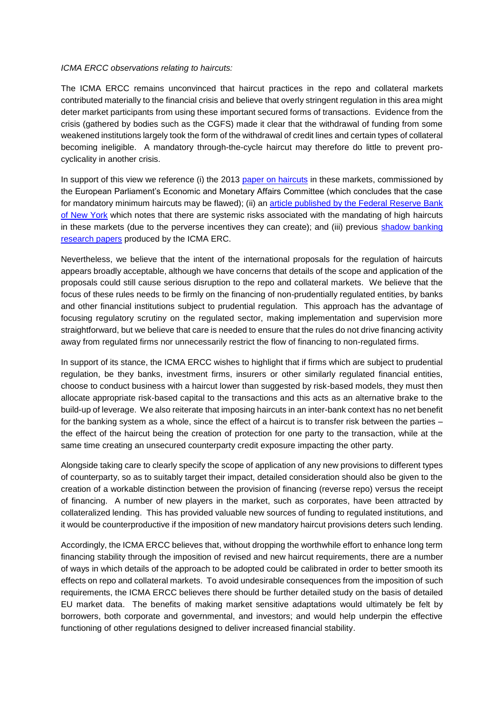#### *ICMA ERCC observations relating to haircuts:*

The ICMA ERCC remains unconvinced that haircut practices in the repo and collateral markets contributed materially to the financial crisis and believe that overly stringent regulation in this area might deter market participants from using these important secured forms of transactions. Evidence from the crisis (gathered by bodies such as the CGFS) made it clear that the withdrawal of funding from some weakened institutions largely took the form of the withdrawal of credit lines and certain types of collateral becoming ineligible. A mandatory through-the-cycle haircut may therefore do little to prevent procyclicality in another crisis.

In support of this view we reference (i) the 2013 [paper on haircuts](http://www.europarl.europa.eu/RegData/etudes/note/join/2013/507462/IPOL-ECON_NT%282013%29507462_EN.pdf) in these markets, commissioned by the European Parliament's Economic and Monetary Affairs Committee (which concludes that the case for mandatory minimum haircuts may be flawed); (ii) an **article published by the Federal Reserve Bank** [of New York](http://libertystreeteconomics.newyorkfed.org/2013/08/are-higher-haircuts-better-a-paradox.html) which notes that there are systemic risks associated with the mandating of high haircuts in these markets (due to the perverse incentives they can create); and (iii) previous [shadow banking](https://www.icmagroup.org/Regulatory-Policy-and-Market-Practice/repo-and-collateral-markets/icma-ercc-publications/icma-ercc-reports/shadow-banking-and-repo/)  [research papers](https://www.icmagroup.org/Regulatory-Policy-and-Market-Practice/repo-and-collateral-markets/icma-ercc-publications/icma-ercc-reports/shadow-banking-and-repo/) produced by the ICMA ERC.

Nevertheless, we believe that the intent of the international proposals for the regulation of haircuts appears broadly acceptable, although we have concerns that details of the scope and application of the proposals could still cause serious disruption to the repo and collateral markets. We believe that the focus of these rules needs to be firmly on the financing of non-prudentially regulated entities, by banks and other financial institutions subject to prudential regulation. This approach has the advantage of focusing regulatory scrutiny on the regulated sector, making implementation and supervision more straightforward, but we believe that care is needed to ensure that the rules do not drive financing activity away from regulated firms nor unnecessarily restrict the flow of financing to non-regulated firms.

In support of its stance, the ICMA ERCC wishes to highlight that if firms which are subject to prudential regulation, be they banks, investment firms, insurers or other similarly regulated financial entities, choose to conduct business with a haircut lower than suggested by risk-based models, they must then allocate appropriate risk-based capital to the transactions and this acts as an alternative brake to the build-up of leverage. We also reiterate that imposing haircuts in an inter-bank context has no net benefit for the banking system as a whole, since the effect of a haircut is to transfer risk between the parties – the effect of the haircut being the creation of protection for one party to the transaction, while at the same time creating an unsecured counterparty credit exposure impacting the other party.

Alongside taking care to clearly specify the scope of application of any new provisions to different types of counterparty, so as to suitably target their impact, detailed consideration should also be given to the creation of a workable distinction between the provision of financing (reverse repo) versus the receipt of financing. A number of new players in the market, such as corporates, have been attracted by collateralized lending. This has provided valuable new sources of funding to regulated institutions, and it would be counterproductive if the imposition of new mandatory haircut provisions deters such lending.

Accordingly, the ICMA ERCC believes that, without dropping the worthwhile effort to enhance long term financing stability through the imposition of revised and new haircut requirements, there are a number of ways in which details of the approach to be adopted could be calibrated in order to better smooth its effects on repo and collateral markets. To avoid undesirable consequences from the imposition of such requirements, the ICMA ERCC believes there should be further detailed study on the basis of detailed EU market data. The benefits of making market sensitive adaptations would ultimately be felt by borrowers, both corporate and governmental, and investors; and would help underpin the effective functioning of other regulations designed to deliver increased financial stability.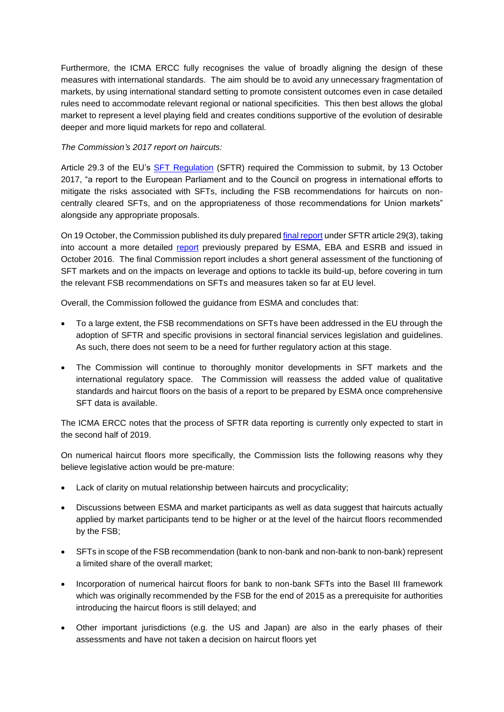Furthermore, the ICMA ERCC fully recognises the value of broadly aligning the design of these measures with international standards. The aim should be to avoid any unnecessary fragmentation of markets, by using international standard setting to promote consistent outcomes even in case detailed rules need to accommodate relevant regional or national specificities. This then best allows the global market to represent a level playing field and creates conditions supportive of the evolution of desirable deeper and more liquid markets for repo and collateral.

### *The Commission's 2017 report on haircuts:*

Article 29.3 of the EU's SFT [Regulation](http://eur-lex.europa.eu/legal-content/EN/TXT/?qid=1451912774340&uri=CELEX:32015R2365) (SFTR) required the Commission to submit, by 13 October 2017, "a report to the European Parliament and to the Council on progress in international efforts to mitigate the risks associated with SFTs, including the FSB recommendations for haircuts on noncentrally cleared SFTs, and on the appropriateness of those recommendations for Union markets" alongside any appropriate proposals.

On 19 October, the Commission published its duly prepare[d final report](https://ec.europa.eu/info/sites/info/files/171019-sftr-report_en.pdf) under SFTR article 29(3), taking into account a more detailed [report](https://www.esma.europa.eu/sites/default/files/library/2016-1415_-_report_on_sfts_procyclicality_and_leverage.pdf) previously prepared by ESMA, EBA and ESRB and issued in October 2016. The final Commission report includes a short general assessment of the functioning of SFT markets and on the impacts on leverage and options to tackle its build-up, before covering in turn the relevant FSB recommendations on SFTs and measures taken so far at EU level.

Overall, the Commission followed the guidance from ESMA and concludes that:

- To a large extent, the FSB recommendations on SFTs have been addressed in the EU through the adoption of SFTR and specific provisions in sectoral financial services legislation and guidelines. As such, there does not seem to be a need for further regulatory action at this stage.
- The Commission will continue to thoroughly monitor developments in SFT markets and the international regulatory space. The Commission will reassess the added value of qualitative standards and haircut floors on the basis of a report to be prepared by ESMA once comprehensive SFT data is available.

The ICMA ERCC notes that the process of SFTR data reporting is currently only expected to start in the second half of 2019.

On numerical haircut floors more specifically, the Commission lists the following reasons why they believe legislative action would be pre-mature:

- Lack of clarity on mutual relationship between haircuts and procyclicality;
- Discussions between ESMA and market participants as well as data suggest that haircuts actually applied by market participants tend to be higher or at the level of the haircut floors recommended by the FSB;
- SFTs in scope of the FSB recommendation (bank to non-bank and non-bank to non-bank) represent a limited share of the overall market;
- Incorporation of numerical haircut floors for bank to non-bank SFTs into the Basel III framework which was originally recommended by the FSB for the end of 2015 as a prerequisite for authorities introducing the haircut floors is still delayed; and
- Other important jurisdictions (e.g. the US and Japan) are also in the early phases of their assessments and have not taken a decision on haircut floors yet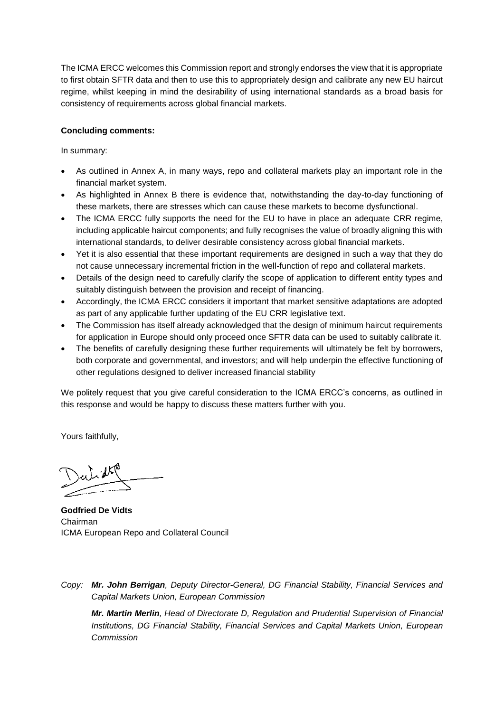The ICMA ERCC welcomes this Commission report and strongly endorses the view that it is appropriate to first obtain SFTR data and then to use this to appropriately design and calibrate any new EU haircut regime, whilst keeping in mind the desirability of using international standards as a broad basis for consistency of requirements across global financial markets.

### **Concluding comments:**

In summary:

- As outlined in Annex A, in many ways, repo and collateral markets play an important role in the financial market system.
- As highlighted in Annex B there is evidence that, notwithstanding the day-to-day functioning of these markets, there are stresses which can cause these markets to become dysfunctional.
- The ICMA ERCC fully supports the need for the EU to have in place an adequate CRR regime, including applicable haircut components; and fully recognises the value of broadly aligning this with international standards, to deliver desirable consistency across global financial markets.
- Yet it is also essential that these important requirements are designed in such a way that they do not cause unnecessary incremental friction in the well-function of repo and collateral markets.
- Details of the design need to carefully clarify the scope of application to different entity types and suitably distinguish between the provision and receipt of financing.
- Accordingly, the ICMA ERCC considers it important that market sensitive adaptations are adopted as part of any applicable further updating of the EU CRR legislative text.
- The Commission has itself already acknowledged that the design of minimum haircut requirements for application in Europe should only proceed once SFTR data can be used to suitably calibrate it.
- The benefits of carefully designing these further requirements will ultimately be felt by borrowers, both corporate and governmental, and investors; and will help underpin the effective functioning of other regulations designed to deliver increased financial stability

We politely request that you give careful consideration to the ICMA ERCC's concerns, as outlined in this response and would be happy to discuss these matters further with you.

Yours faithfully,

**Godfried De Vidts**  Chairman ICMA European Repo and Collateral Council

*Copy: Mr. John Berrigan, Deputy Director-General, DG Financial Stability, Financial Services and Capital Markets Union, European Commission*

*Mr. Martin Merlin, Head of Directorate D, Regulation and Prudential Supervision of Financial Institutions, DG Financial Stability, Financial Services and Capital Markets Union, European Commission*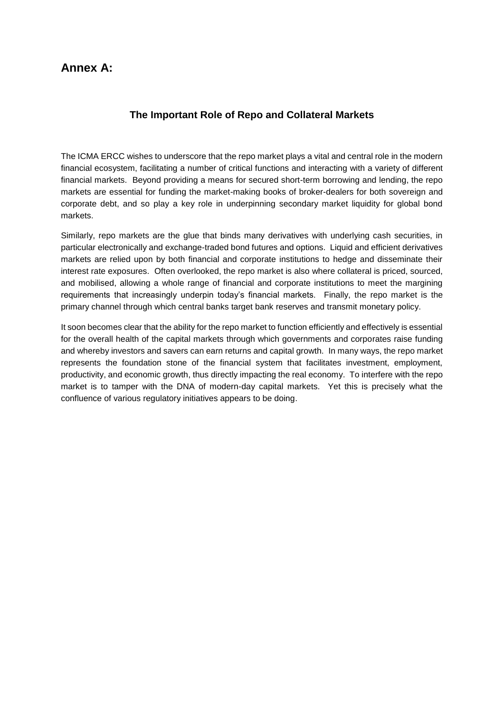## **Annex A:**

### **The Important Role of Repo and Collateral Markets**

The ICMA ERCC wishes to underscore that the repo market plays a vital and central role in the modern financial ecosystem, facilitating a number of critical functions and interacting with a variety of different financial markets. Beyond providing a means for secured short-term borrowing and lending, the repo markets are essential for funding the market-making books of broker-dealers for both sovereign and corporate debt, and so play a key role in underpinning secondary market liquidity for global bond markets.

Similarly, repo markets are the glue that binds many derivatives with underlying cash securities, in particular electronically and exchange-traded bond futures and options. Liquid and efficient derivatives markets are relied upon by both financial and corporate institutions to hedge and disseminate their interest rate exposures. Often overlooked, the repo market is also where collateral is priced, sourced, and mobilised, allowing a whole range of financial and corporate institutions to meet the margining requirements that increasingly underpin today's financial markets. Finally, the repo market is the primary channel through which central banks target bank reserves and transmit monetary policy.

It soon becomes clear that the ability for the repo market to function efficiently and effectively is essential for the overall health of the capital markets through which governments and corporates raise funding and whereby investors and savers can earn returns and capital growth. In many ways, the repo market represents the foundation stone of the financial system that facilitates investment, employment, productivity, and economic growth, thus directly impacting the real economy. To interfere with the repo market is to tamper with the DNA of modern-day capital markets. Yet this is precisely what the confluence of various regulatory initiatives appears to be doing.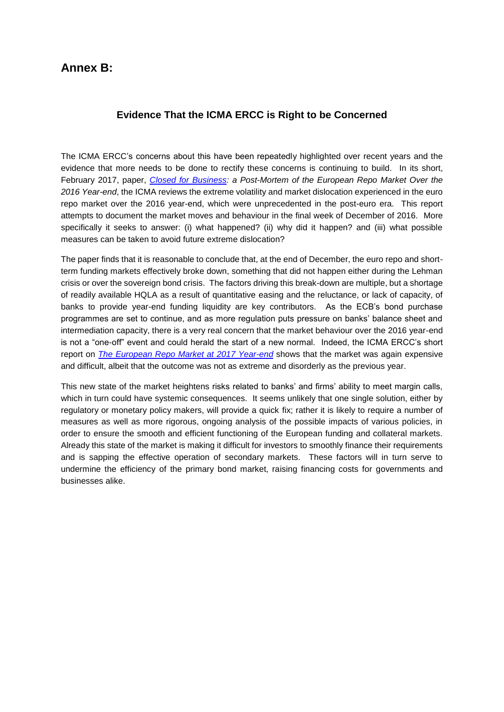## **Annex B:**

### **Evidence That the ICMA ERCC is Right to be Concerned**

The ICMA ERCC's concerns about this have been repeatedly highlighted over recent years and the evidence that more needs to be done to rectify these concerns is continuing to build. In its short, February 2017, paper, *[Closed for Business:](http://www.icmagroup.org/assets/documents/Regulatory/Repo/ICMA-ERCC-year-end-report-2016-AndyHill-020317.pdf) a Post-Mortem of the European Repo Market Over the 2016 Year-end*, the ICMA reviews the extreme volatility and market dislocation experienced in the euro repo market over the 2016 year-end, which were unprecedented in the post-euro era. This report attempts to document the market moves and behaviour in the final week of December of 2016. More specifically it seeks to answer: (i) what happened? (ii) why did it happen? and (iii) what possible measures can be taken to avoid future extreme dislocation?

The paper finds that it is reasonable to conclude that, at the end of December, the euro repo and shortterm funding markets effectively broke down, something that did not happen either during the Lehman crisis or over the sovereign bond crisis. The factors driving this break-down are multiple, but a shortage of readily available HQLA as a result of quantitative easing and the reluctance, or lack of capacity, of banks to provide year-end funding liquidity are key contributors. As the ECB's bond purchase programmes are set to continue, and as more regulation puts pressure on banks' balance sheet and intermediation capacity, there is a very real concern that the market behaviour over the 2016 year-end is not a "one-off" event and could herald the start of a new normal. Indeed, the ICMA ERCC's short report on *[The European Repo Market at 2017 Year-end](https://www.icmagroup.org/assets/documents/Regulatory/Repo/ICMA-ERCC_2017-year-end-report_Final-150118.pdf)* shows that the market was again expensive and difficult, albeit that the outcome was not as extreme and disorderly as the previous year.

This new state of the market heightens risks related to banks' and firms' ability to meet margin calls, which in turn could have systemic consequences. It seems unlikely that one single solution, either by regulatory or monetary policy makers, will provide a quick fix; rather it is likely to require a number of measures as well as more rigorous, ongoing analysis of the possible impacts of various policies, in order to ensure the smooth and efficient functioning of the European funding and collateral markets. Already this state of the market is making it difficult for investors to smoothly finance their requirements and is sapping the effective operation of secondary markets. These factors will in turn serve to undermine the efficiency of the primary bond market, raising financing costs for governments and businesses alike.